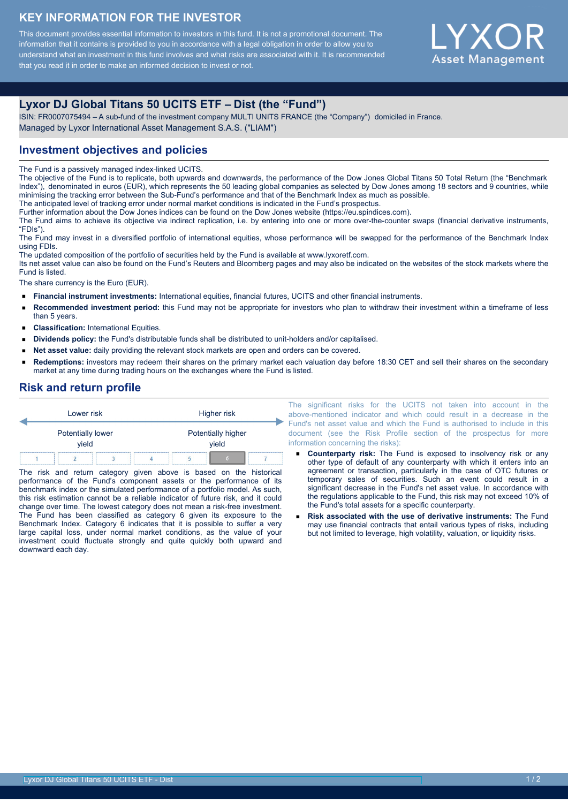#### **KEY INFORMATION FOR THE INVESTOR**

This document provides essential information to investors in this fund. It is not a promotional document. The information that it contains is provided to you in accordance with a legal obligation in order to allow you to understand what an investment in this fund involves and what risks are associated with it. It is recommended that you read it in order to make an informed decision to invest or not.



# **Lyxor DJ Global Titans 50 UCITS ETF – Dist (the "Fund")**

ISIN: FR0007075494 – A sub-fund of the investment company MULTI UNITS FRANCE (the "Company") domiciled in France. Managed by Lyxor International Asset Management S.A.S. ("LIAM")

## **Investment objectives and policies**

The Fund is a passively managed index-linked UCITS.

The objective of the Fund is to replicate, both upwards and downwards, the performance of the Dow Jones Global Titans 50 Total Return (the "Benchmark Index"), denominated in euros (EUR), which represents the 50 leading global companies as selected by Dow Jones among 18 sectors and 9 countries, while minimising the tracking error between the Sub-Fund's performance and that of the Benchmark Index as much as possible.

The anticipated level of tracking error under normal market conditions is indicated in the Fund's prospectus.

Further information about the Dow Jones indices can be found on the Dow Jones website (https://eu.spindices.com).

The Fund aims to achieve its objective via indirect replication, i.e. by entering into one or more over-the-counter swaps (financial derivative instruments, "FDIs").

The Fund may invest in a diversified portfolio of international equities, whose performance will be swapped for the performance of the Benchmark Index using FDIs.

The updated composition of the portfolio of securities held by the Fund is available at www.lyxoretf.com.

Its net asset value can also be found on the Fund's Reuters and Bloomberg pages and may also be indicated on the websites of the stock markets where the Fund is listed.

The share currency is the Euro (EUR).

- $\blacksquare$ **Financial instrument investments:** International equities, financial futures, UCITS and other financial instruments.
- $\blacksquare$ **Recommended investment period:** this Fund may not be appropriate for investors who plan to withdraw their investment within a timeframe of less than 5 years.
- **Classification:** International Equities.
- $\blacksquare$ **Dividends policy:** the Fund's distributable funds shall be distributed to unit-holders and/or capitalised.
- **Net asset value:** daily providing the relevant stock markets are open and orders can be covered.
- **Redemptions:** investors may redeem their shares on the primary market each valuation day before 18:30 CET and sell their shares on the secondary market at any time during trading hours on the exchanges where the Fund is listed.

### **Risk and return profile**

| Lower risk |                            |  |                             | Higher risk |  |  |  |
|------------|----------------------------|--|-----------------------------|-------------|--|--|--|
|            | Potentially lower<br>vield |  | Potentially higher<br>vield |             |  |  |  |
|            |                            |  |                             |             |  |  |  |

The risk and return category given above is based on the historical performance of the Fund's component assets or the performance of its benchmark index or the simulated performance of a portfolio model. As such, this risk estimation cannot be a reliable indicator of future risk, and it could change over time. The lowest category does not mean a risk-free investment. The Fund has been classified as category 6 given its exposure to the Benchmark Index. Category 6 indicates that it is possible to suffer a very large capital loss, under normal market conditions, as the value of your investment could fluctuate strongly and quite quickly both upward and downward each day.

The significant risks for the UCITS not taken into account in the above-mentioned indicator and which could result in a decrease in the Fund's net asset value and which the Fund is authorised to include in this document (see the Risk Profile section of the prospectus for more information concerning the risks):

- **Counterparty risk:** The Fund is exposed to insolvency risk or any other type of default of any counterparty with which it enters into an agreement or transaction, particularly in the case of OTC futures or temporary sales of securities. Such an event could result in a significant decrease in the Fund's net asset value. In accordance with the regulations applicable to the Fund, this risk may not exceed 10% of the Fund's total assets for a specific counterparty.
- **Risk associated with the use of derivative instruments:** The Fund may use financial contracts that entail various types of risks, including but not limited to leverage, high volatility, valuation, or liquidity risks.